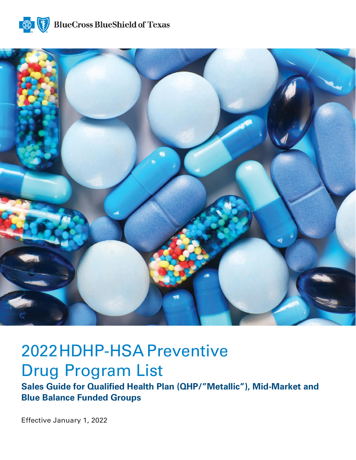



# 2022HDHP-HSA Preventive Drug Program List

**Sales Guide for Qualified Health Plan (QHP/"Metallic"), Mid-Market and Blue Balance Funded Groups**

Effective January 1, 2022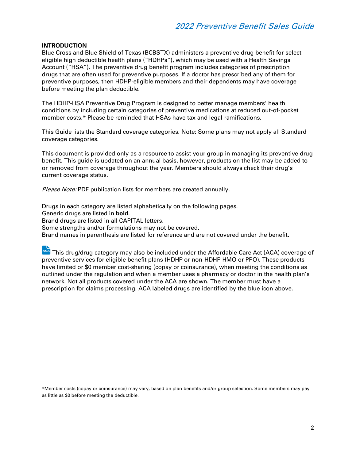#### **INTRODUCTION**

Blue Cross and Blue Shield of Texas (BCBSTX) administers a preventive drug benefit for select eligible high deductible health plans ("HDHPs"), which may be used with a Health Savings Account ("HSA"). The preventive drug benefit program includes categories of prescription drugs that are often used for preventive purposes. If a doctor has prescribed any of them for preventive purposes, then HDHP-eligible members and their dependents may have coverage before meeting the plan deductible.

The HDHP-HSA Preventive Drug Program is designed to better manage members' health conditions by including certain categories of preventive medications at reduced out-of-pocket member costs.\* Please be reminded that HSAs have tax and legal ramifications.

This Guide lists the Standard coverage categories. Note: Some plans may not apply all Standard coverage categories.

This document is provided only as a resource to assist your group in managing its preventive drug benefit. This guide is updated on an annual basis, however, products on the list may be added to or removed from coverage throughout the year. Members should always check their drug's current coverage status.

Please Note: PDF publication lists for members are created annually.

Drugs in each category are listed alphabetically on the following pages.

Generic drugs are listed in **bold**.

Brand drugs are listed in all CAPITAL letters.

Some strengths and/or formulations may not be covered.

Brand names in parenthesis are listed for reference and are not covered under the benefit.

ACA This drug/drug category may also be included under the Affordable Care Act (ACA) coverage of preventive services for eligible benefit plans (HDHP or non-HDHP HMO or PPO). These products have limited or \$0 member cost-sharing (copay or coinsurance), when meeting the conditions as outlined under the regulation and when a member uses a pharmacy or doctor in the health plan's network. Not all products covered under the ACA are shown. The member must have a prescription for claims processing. ACA labeled drugs are identified by the blue icon above.

\*Member costs (copay or coinsurance) may vary, based on plan benefits and/or group selection. Some members may pay as little as \$0 before meeting the deductible.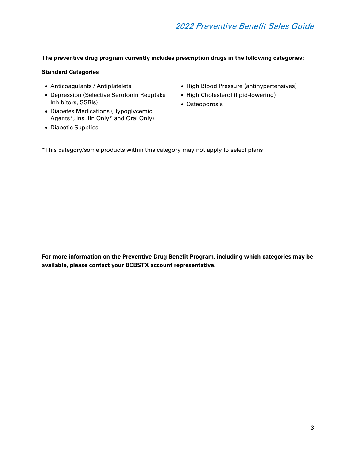#### **The preventive drug program currently includes prescription drugs in the following categories:**

#### **Standard Categories**

- Anticoagulants / Antiplatelets
- Depression (Selective Serotonin Reuptake Inhibitors, SSRIs)
- Diabetes Medications (Hypoglycemic Agents\*, Insulin Only\* and Oral Only)
- Diabetic Supplies
- High Blood Pressure (antihypertensives)
- High Cholesterol (lipid-lowering)
- Osteoporosis
- \*This category/some products within this category may not apply to select plans

**For more information on the Preventive Drug Benefit Program, including which categories may be available, please contact your BCBSTX account representative.**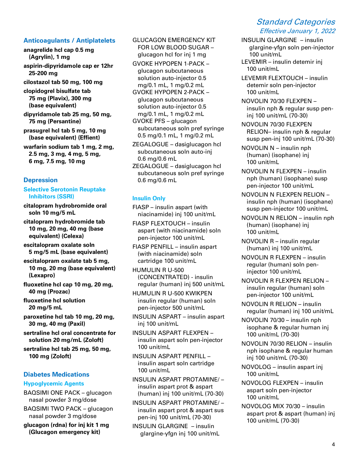#### **Anticoagulants / Antiplatelets**

**anagrelide hcl cap 0.5 mg (Agrylin), 1 mg aspirin-dipyridamole cap er 12hr 25-200 mg cilostazol tab 50 mg, 100 mg clopidogrel bisulfate tab 75 mg (Plavix), 300 mg (base equivalent) dipyridamole tab 25 mg, 50 mg, 75 mg (Persantine) prasugrel hcl tab 5 mg, 10 mg**

**(base equivalent) (Effient) warfarin sodium tab 1 mg, 2 mg,**

**2.5 mg, 3 mg, 4 mg, 5 mg, 6 mg, 7.5 mg, 10 mg** 

#### **Depression**

#### **Selective Serotonin Reuptake Inhibitors (SSRI)**

**citalopram hydrobromide oral soln 10 mg/5 mL**

**citalopram hydrobromide tab 10 mg, 20 mg, 40 mg (base equivalent) (Celexa)**

- **escitalopram oxalate soln 5 mg/5 mL (base equivalent)**
- **escitalopram oxalate tab 5 mg, 10 mg, 20 mg (base equivalent) (Lexapro)**
- **fluoxetine hcl cap 10 mg, 20 mg, 40 mg (Prozac)**

**fluoxetine hcl solution 20 mg/5 mL**

**paroxetine hcl tab 10 mg, 20 mg, 30 mg, 40 mg (Paxil)**

**sertraline hcl oral concentrate for solution 20 mg/mL (Zoloft)**

**sertraline hcl tab 25 mg, 50 mg, 100 mg (Zoloft)**

# **Diabetes Medications**

#### **Hypoglycemic Agents**

BAQSIMI ONE PACK – glucagon nasal powder 3 mg/dose BAQSIMI TWO PACK – glucagon

nasal powder 3 mg/dose

**glucagon (rdna) for inj kit 1 mg (Glucagon emergency kit)**

GLUCAGON EMERGENCY KIT FOR LOW BLOOD SUGAR – glucagon hcl for inj 1 mg

- GVOKE HYPOPEN 1-PACK glucagon subcutaneous solution auto-injector 0.5 mg/0.1 mL, 1 mg/0.2 mL
- GVOKE HYPOPEN 2-PACK glucagon subcutaneous solution auto-injector 0.5 mg/0.1 mL, 1 mg/0.2 mL

GVOKE PFS – glucagon subcutaneous soln pref syringe 0.5 mg/0.1 mL, 1 mg/0.2 mL

ZEGALOGUE – dasiglucagon hcl subcutaneous soln auto-inj 0.6 mg/0.6 mL

ZEGALOGUE – dasiglucagon hcl subcutaneous soln pref syringe 0.6 mg/0.6 mL

#### **Insulin Only**

FIASP – insulin aspart (with niacinamide) inj 100 unit/mL

FIASP FLEXTOUCH – insulin aspart (with niacinamide) soln pen-injector 100 unit/mL

FIASP PENFILL – insulin aspart (with niacinamide) soln cartridge 100 unit/mL

HUMULIN R U-500 (CONCENTRATED) - insulin regular (human) inj 500 unit/mL

HUMULIN R U-500 KWIKPEN insulin regular (human) soln pen-injector 500 unit/mL

INSULIN ASPART – insulin aspart inj 100 unit/mL

INSULIN ASPART FLEXPEN – insulin aspart soln pen-injector 100 unit/mL

INSULIN ASPART PENFILL – insulin aspart soln cartridge 100 unit/mL

INSULIN ASPART PROTAMINE/ – insulin aspart prot & aspart (human) inj 100 unit/mL (70-30)

INSULIN ASPART PROTAMINE/ – insulin aspart prot & aspart sus pen-inj 100 unit/mL (70-30)

INSULIN GLARGINE – insulin glargine-yfgn inj 100 unit/mL

# Standard Categories Effective January 1, 2022

- INSULIN GLARGINE insulin glargine-yfgn soln pen-injector 100 unit/mL
- LEVEMIR insulin detemir inj 100 unit/mL
- LEVEMIR FLEXTOUCH insulin detemir soln pen-injector 100 unit/mL
- NOVOLIN 70/30 FLEXPEN insulin nph & regular susp peninj 100 unit/mL (70-30)
- NOVOLIN 70/30 FLEXPEN RELION– insulin nph & regular susp pen-inj 100 unit/mL (70-30)

NOVOLIN N – insulin nph (human) (isophane) inj 100 unit/mL

- NOVOLIN N FLEXPEN insulin nph (human) (isophane) susp pen-injector 100 unit/mL
- NOVOLIN N FLEXPEN RELION insulin nph (human) (isophane) susp pen-injector 100 unit/mL
- NOVOLIN N RELION insulin nph (human) (isophane) inj 100 unit/mL
- NOVOLIN R insulin regular (human) inj 100 unit/mL
- NOVOLIN R FLEXPEN insulin regular (human) soln peninjector 100 unit/mL
- NOVOLIN R FLEXPEN RELION insulin regular (human) soln pen-injector 100 unit/mL
- NOVOLIN R RELION insulin regular (human) inj 100 unit/mL
- NOVOLIN 70/30 insulin nph isophane & regular human inj 100 unit/mL (70-30)
- NOVOLIN 70/30 RELION insulin nph isophane & regular human inj 100 unit/mL (70-30)
- NOVOLOG insulin aspart inj 100 unit/mL
- NOVOLOG FLEXPEN insulin aspart soln pen-injector 100 unit/mL
- NOVOLOG MIX 70/30 insulin aspart prot & aspart (human) inj 100 unit/mL (70-30)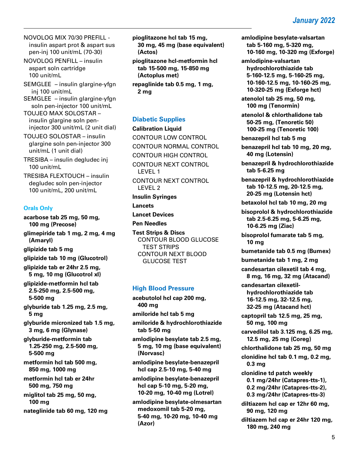NOVOLOG MIX 70/30 PREFILL insulin aspart prot & aspart sus pen-inj 100 unit/mL (70-30)

NOVOLOG PENFILL – insulin aspart soln cartridge 100 unit/mL

SEMGLEE – insulin glargine-yfgn inj 100 unit/mL

SEMGLEE – insulin glargine-yfgn soln pen-injector 100 unit/mL

TOUJEO MAX SOLOSTAR – insulin glargine soln peninjector 300 unit/mL (2 unit dial)

TOUJEO SOLOSTAR – insulin glargine soln pen-injector 300 unit/mL (1 unit dial)

TRESIBA – insulin degludec inj 100 unit/mL

TRESIBA FLEXTOUCH – insulin degludec soln pen-injector 100 unit/mL, 200 unit/mL

#### **Orals Only**

**acarbose tab 25 mg, 50 mg, 100 mg (Precose) glimepiride tab 1 mg, 2 mg, 4 mg (Amaryl) glipizide tab 5 mg glipizide tab 10 mg (Glucotrol) glipizide tab er 24hr 2.5 mg, 5 mg, 10 mg (Glucotrol xl) glipizide-metformin hcl tab 2.5-250 mg, 2.5-500 mg, 5-500 mg glyburide tab 1.25 mg, 2.5 mg, 5 mg glyburide micronized tab 1.5 mg, 3 mg, 6 mg (Glynase) glyburide-metformin tab 1.25-250 mg, 2.5-500 mg, 5-500 mg metformin hcl tab 500 mg, 850 mg, 1000 mg metformin hcl tab er 24hr 500 mg, 750 mg miglitol tab 25 mg, 50 mg, 100 mg**

**nateglinide tab 60 mg, 120 mg**

**pioglitazone hcl tab 15 mg, 30 mg, 45 mg (base equivalent) (Actos)**

**pioglitazone hcl-metformin hcl tab 15-500 mg, 15-850 mg (Actoplus met)**

**repaglinide tab 0.5 mg, 1 mg, 2 mg**

## **Diabetic Supplies**

**Calibration Liquid** CONTOUR LOW CONTROL CONTOUR NORMAL CONTROL CONTOUR HIGH CONTROL CONTOUR NEXT CONTROL LEVEL 1 CONTOUR NEXT CONTROL LEVEL 2 **Insulin Syringes Lancets Lancet Devices Pen Needles Test Strips & Discs** CONTOUR BLOOD GLUCOSE TEST STRIPS CONTOUR NEXT BLOOD

# **High Blood Pressure**

GLUCOSE TEST

**acebutolol hcl cap 200 mg, 400 mg amiloride hcl tab 5 mg amiloride & hydrochlorothiazide tab 5-50 mg**

**amlodipine besylate tab 2.5 mg, 5 mg, 10 mg (base equivalent) (Norvasc)**

**amlodipine besylate-benazepril hcl cap 2.5-10 mg, 5-40 mg**

**amlodipine besylate-benazepril hcl cap 5-10 mg, 5-20 mg, 10-20 mg, 10-40 mg (Lotrel)**

**amlodipine besylate-olmesartan medoxomil tab 5-20 mg, 5-40 mg, 10-20 mg, 10-40 mg (Azor)**

**amlodipine besylate-valsartan tab 5-160 mg, 5-320 mg, 10-160 mg, 10-320 mg (Exforge)**

**amlodipine-valsartan hydrochlorothiazide tab 5-160-12.5 mg, 5-160-25 mg, 10-160-12.5 mg, 10-160-25 mg, 10-320-25 mg (Exforge hct)**

**atenolol tab 25 mg, 50 mg, 100 mg (Tenormin)**

**atenolol & chlorthalidone tab 50-25 mg, (Tenoretic 50) 100-25 mg (Tenoretic 100)**

**benazepril hcl tab 5 mg**

**benazepril hcl tab 10 mg, 20 mg, 40 mg (Lotensin)**

**benazepril & hydrochlorothiazide tab 5-6.25 mg**

**benazepril & hydrochlorothiazide tab 10-12.5 mg, 20-12.5 mg, 20-25 mg (Lotensin hct)**

**betaxolol hcl tab 10 mg, 20 mg**

**bisoprolol & hydrochlorothiazide tab 2.5-6.25 mg, 5-6.25 mg, 10-6.25 mg (Ziac)**

**bisoprolol fumarate tab 5 mg, 10 mg**

**bumetanide tab 0.5 mg (Bumex)**

**bumetanide tab 1 mg, 2 mg**

**candesartan cilexetil tab 4 mg, 8 mg, 16 mg, 32 mg (Atacand)**

**candesartan cilexetilhydrochlorothiazide tab 16-12.5 mg, 32-12.5 mg, 32-25 mg (Atacand hct)**

**captopril tab 12.5 mg, 25 mg, 50 mg, 100 mg**

**carvedilol tab 3.125 mg, 6.25 mg, 12.5 mg, 25 mg (Coreg)**

**chlorthalidone tab 25 mg, 50 mg**

**clonidine hcl tab 0.1 mg, 0.2 mg, 0.3 mg** 

**clonidine td patch weekly**

**0.1 mg/24hr (Catapres-tts-1), 0.2 mg/24hr (Catapres-tts-2),**

**0.3 mg/24hr (Catapres-tts-3)**

**diltiazem hcl cap er 12hr 60 mg, 90 mg, 120 mg**

**diltiazem hcl cap er 24hr 120 mg, 180 mg, 240 mg**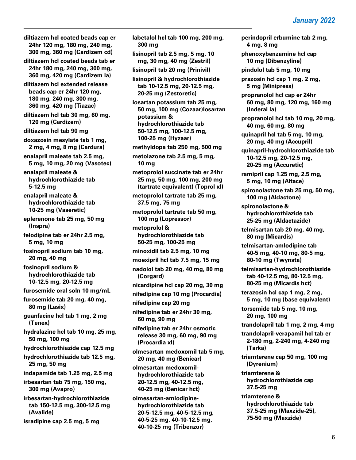**diltiazem hcl coated beads cap er 24hr 120 mg, 180 mg, 240 mg, 300 mg, 360 mg (Cardizem cd) diltiazem hcl coated beads tab er 24hr 180 mg, 240 mg, 300 mg, 360 mg, 420 mg (Cardizem la) diltiazem hcl extended release beads cap er 24hr 120 mg, 180 mg, 240 mg, 300 mg, 360 mg, 420 mg (Tiazac) diltiazem hcl tab 30 mg, 60 mg, 120 mg (Cardizem) diltiazem hcl tab 90 mg doxazosin mesylate tab 1 mg, 2 mg, 4 mg, 8 mg (Cardura) enalapril maleate tab 2.5 mg, 5 mg, 10 mg, 20 mg (Vasotec) enalapril maleate & hydrochlorothiazide tab 5-12.5 mg enalapril maleate & hydrochlorothiazide tab 10-25 mg (Vaseretic) eplerenone tab 25 mg, 50 mg (Inspra) felodipine tab er 24hr 2.5 mg, 5 mg, 10 mg fosinopril sodium tab 10 mg, 20 mg, 40 mg fosinopril sodium & hydrochlorothiazide tab 10-12.5 mg, 20-12.5 mg furosemide oral soln 10 mg/mL furosemide tab 20 mg, 40 mg, 80 mg (Lasix) guanfacine hcl tab 1 mg, 2 mg (Tenex) hydralazine hcl tab 10 mg, 25 mg, 50 mg, 100 mg hydrochlorothiazide cap 12.5 mg hydrochlorothiazide tab 12.5 mg, 25 mg, 50 mg indapamide tab 1.25 mg, 2.5 mg irbesartan tab 75 mg, 150 mg, 300 mg (Avapro) irbesartan-hydrochlorothiazide tab 150-12.5 mg, 300-12.5 mg (Avalide)**

**isradipine cap 2.5 mg, 5 mg**

**labetalol hcl tab 100 mg, 200 mg, 300 mg lisinopril tab 2.5 mg, 5 mg, 10** 

**mg, 30 mg, 40 mg (Zestril) lisinopril tab 20 mg (Prinivil)**

**lisinopril & hydrochlorothiazide tab 10-12.5 mg, 20-12.5 mg, 20-25 mg (Zestoretic)**

**losartan potassium tab 25 mg, 50 mg, 100 mg (Cozaar)losartan potassium & hydrochlorothiazide tab 50-12.5 mg, 100-12.5 mg, 100-25 mg (Hyzaar)**

**methyldopa tab 250 mg, 500 mg**

**metolazone tab 2.5 mg, 5 mg, 10 mg**

**metoprolol succinate tab er 24hr 25 mg, 50 mg, 100 mg, 200 mg (tartrate equivalent) (Toprol xl)**

**metoprolol tartrate tab 25 mg, 37.5 mg, 75 mg**

**metoprolol tartrate tab 50 mg, 100 mg (Lopressor)**

**metoprolol & hydrochlorothiazide tab 50-25 mg, 100-25 mg**

**minoxidil tab 2.5 mg, 10 mg**

**moexipril hcl tab 7.5 mg, 15 mg**

**nadolol tab 20 mg, 40 mg, 80 mg (Corgard)**

**nicardipine hcl cap 20 mg, 30 mg**

**nifedipine cap 10 mg (Procardia)**

**nifedipine cap 20 mg**

**nifedipine tab er 24hr 30 mg, 60 mg, 90 mg**

**nifedipine tab er 24hr osmotic release 30 mg, 60 mg, 90 mg (Procardia xl)**

**olmesartan medoxomil tab 5 mg, 20 mg, 40 mg (Benicar)**

**olmesartan medoxomilhydrochlorothiazide tab 20-12.5 mg, 40-12.5 mg, 40-25 mg (Benicar hct)**

**olmesartan-amlodipinehydrochlorothiazide tab 20-5-12.5 mg, 40-5-12.5 mg, 40-5-25 mg, 40-10-12.5 mg, 40-10-25 mg (Tribenzor)**

**perindopril erbumine tab 2 mg, 4 mg, 8 mg**

**phenoxybenzamine hcl cap 10 mg (Dibenzyline)**

**pindolol tab 5 mg, 10 mg**

**prazosin hcl cap 1 mg, 2 mg, 5 mg (Minipress)**

**propranolol hcl cap er 24hr 60 mg, 80 mg, 120 mg, 160 mg (Inderal la)**

**propranolol hcl tab 10 mg, 20 mg, 40 mg, 60 mg, 80 mg**

**quinapril hcl tab 5 mg, 10 mg, 20 mg, 40 mg (Accupril)**

**quinapril-hydrochlorothiazide tab 10-12.5 mg, 20-12.5 mg, 20-25 mg (Accuretic)**

**ramipril cap 1.25 mg, 2.5 mg, 5 mg, 10 mg (Altace)**

**spironolactone tab 25 mg, 50 mg, 100 mg (Aldactone)**

**spironolactone & hydrochlorothiazide tab 25-25 mg (Aldactazide)**

**telmisartan tab 20 mg, 40 mg, 80 mg (Micardis)**

**telmisartan-amlodipine tab 40-5 mg, 40-10 mg, 80-5 mg, 80-10 mg (Twynsta)**

**telmisartan-hydrochlorothiazide tab 40-12.5 mg, 80-12.5 mg, 80-25 mg (Micardis hct)**

**terazosin hcl cap 1 mg, 2 mg, 5 mg, 10 mg (base equivalent)**

**torsemide tab 5 mg, 10 mg, 20 mg, 100 mg**

**trandolapril tab 1 mg, 2 mg, 4 mg**

**trandolapril-verapamil hcl tab er 2-180 mg, 2-240 mg, 4-240 mg (Tarka)**

**triamterene cap 50 mg, 100 mg (Dyrenium)** 

**triamterene & hydrochlorothiazide cap 37.5-25 mg** 

**triamterene & hydrochlorothiazide tab 37.5-25 mg (Maxzide-25), 75-50 mg (Maxzide)**